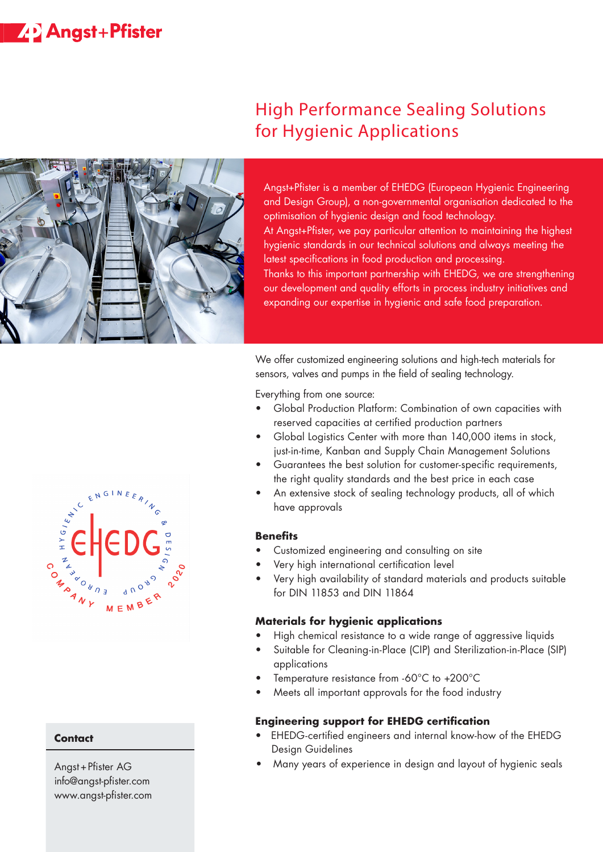# **ZP** Angst+Pfister



## High Performance Sealing Solutions for Hygienic Applications

Angst+Pfister is a member of EHEDG (European Hygienic Engineering and Design Group), a non-governmental organisation dedicated to the optimisation of hygienic design and food technology. At Angst+Pfister, we pay particular attention to maintaining the highest hygienic standards in our technical solutions and always meeting the latest specifications in food production and processing. Thanks to this important partnership with EHEDG, we are strengthening our development and quality efforts in process industry initiatives and expanding our expertise in hygienic and safe food preparation.

We offer customized engineering solutions and high-tech materials for sensors, valves and pumps in the field of sealing technology.

Everything from one source:

- Global Production Platform: Combination of own capacities with reserved capacities at certified production partners
- Global Logistics Center with more than 140,000 items in stock, just-in-time, Kanban and Supply Chain Management Solutions
- Guarantees the best solution for customer-specific requirements, the right quality standards and the best price in each case
- An extensive stock of sealing technology products, all of which have approvals

#### **Benefits**

- Customized engineering and consulting on site
- Very high international certification level
- Very high availability of standard materials and products suitable for DIN 11853 and DIN 11864

#### **Materials for hygienic applications**

- High chemical resistance to a wide range of aggressive liquids
- Suitable for Cleaning-in-Place (CIP) and Sterilization-in-Place (SIP) applications
- Temperature resistance from -60°C to +200°C
- Meets all important approvals for the food industry

#### **Engineering support for EHEDG certification**

- EHEDG-certified engineers and internal know-how of the EHEDG Design Guidelines
- Many years of experience in design and layout of hygienic seals



#### **Contact**

Angst+Pfister AG info@angst-pfister.com www.angst-pfister.com